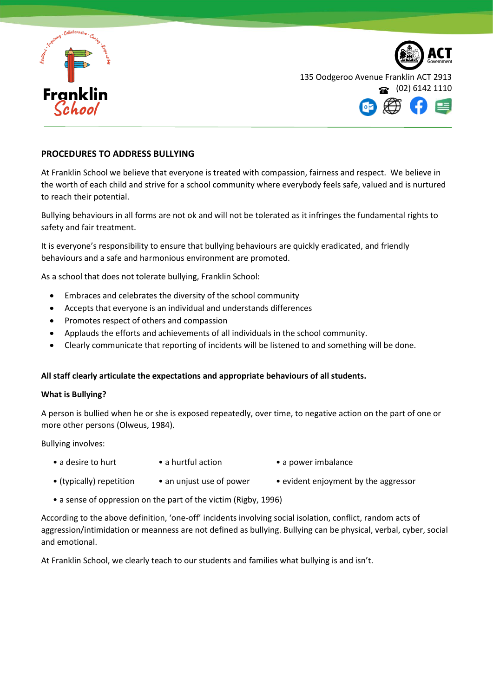

135 Oodgeroo Avenue Franklin ACT 2913 (02) 6142 1110

## **PROCEDURES TO ADDRESS BULLYING**

At Franklin School we believe that everyone is treated with compassion, fairness and respect. We believe in the worth of each child and strive for a school community where everybody feels safe, valued and is nurtured to reach their potential.

Bullying behaviours in all forms are not ok and will not be tolerated as it infringes the fundamental rights to safety and fair treatment.

It is everyone's responsibility to ensure that bullying behaviours are quickly eradicated, and friendly behaviours and a safe and harmonious environment are promoted.

As a school that does not tolerate bullying, Franklin School:

- Embraces and celebrates the diversity of the school community
- Accepts that everyone is an individual and understands differences
- Promotes respect of others and compassion
- Applauds the efforts and achievements of all individuals in the school community.
- Clearly communicate that reporting of incidents will be listened to and something will be done.

### **All staff clearly articulate the expectations and appropriate behaviours of all students.**

### **What is Bullying?**

A person is bullied when he or she is exposed repeatedly, over time, to negative action on the part of one or more other persons (Olweus, 1984).

Bullying involves:

- a desire to hurt a hurtful action a power imbalance
- (typically) repetition an unjust use of power evident enjoyment by the aggressor
- a sense of oppression on the part of the victim (Rigby, 1996)

According to the above definition, 'one-off' incidents involving social isolation, conflict, random acts of aggression/intimidation or meanness are not defined as bullying. Bullying can be physical, verbal, cyber, social and emotional.

At Franklin School, we clearly teach to our students and families what bullying is and isn't.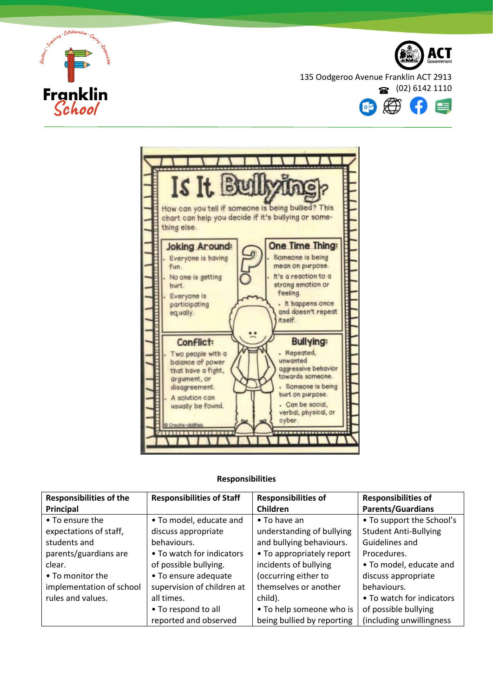



135 Oodgeroo Avenue Franklin ACT 2913





# **Responsibilities**

| <b>Responsibilities of the</b> | <b>Responsibilities of Staff</b> | <b>Responsibilities of</b> | <b>Responsibilities of</b>   |
|--------------------------------|----------------------------------|----------------------------|------------------------------|
| Principal                      |                                  | Children                   | <b>Parents/Guardians</b>     |
| • To ensure the                | • To model, educate and          | $\bullet$ To have an       | • To support the School's    |
| expectations of staff,         | discuss appropriate              | understanding of bullying  | <b>Student Anti-Bullying</b> |
| students and                   | behaviours.                      | and bullying behaviours.   | Guidelines and               |
| parents/guardians are          | • To watch for indicators        | • To appropriately report  | Procedures.                  |
| clear.                         | of possible bullying.            | incidents of bullying      | • To model, educate and      |
| • To monitor the               | • To ensure adequate             | (occurring either to       | discuss appropriate          |
| implementation of school       | supervision of children at       | themselves or another      | behaviours.                  |
| rules and values.              | all times.                       | child).                    | • To watch for indicators    |
|                                | • To respond to all              | • To help someone who is   | of possible bullying         |
|                                | reported and observed            | being bullied by reporting | (including unwillingness)    |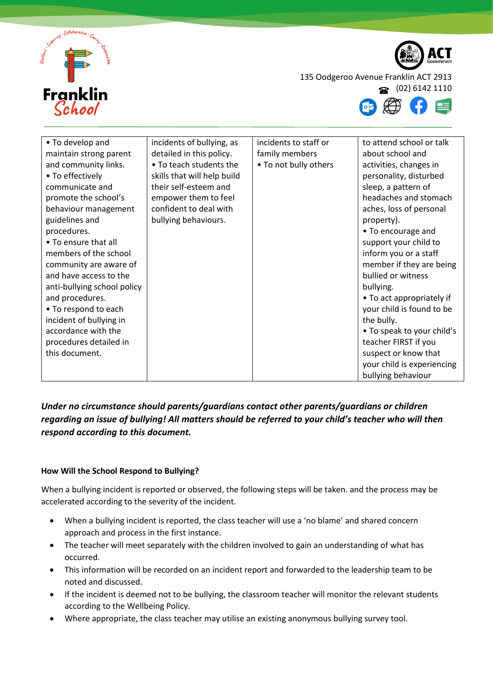



135 Oodgeroo Avenue Franklin ACT 2913

(02) 6142 1110



| • To develop and            | incidents of bullying, as   | incidents to staff or | to attend school or talk   |
|-----------------------------|-----------------------------|-----------------------|----------------------------|
| maintain strong parent      | detailed in this policy.    | family members        | about school and           |
| and community links.        | • To teach students the     | • To not bully others | activities, changes in     |
| • To effectively            | skills that will help build |                       | personality, disturbed     |
| communicate and             | their self-esteem and       |                       | sleep, a pattern of        |
| promote the school's        | empower them to feel        |                       | headaches and stomach      |
| behaviour management        | confident to deal with      |                       | aches, loss of personal    |
| guidelines and              | bullying behaviours.        |                       | property).                 |
| procedures.                 |                             |                       | • To encourage and         |
| • To ensure that all        |                             |                       | support your child to      |
| members of the school       |                             |                       | inform you or a staff      |
| community are aware of      |                             |                       | member if they are being   |
| and have access to the      |                             |                       | bullied or witness         |
| anti-bullying school policy |                             |                       | bullying.                  |
| and procedures.             |                             |                       | • To act appropriately if  |
| • To respond to each        |                             |                       | your child is found to be  |
| incident of bullying in     |                             |                       | the bully.                 |
| accordance with the         |                             |                       | • To speak to your child's |
| procedures detailed in      |                             |                       | teacher FIRST if you       |
| this document.              |                             |                       | suspect or know that       |
|                             |                             |                       | your child is experiencing |
|                             |                             |                       | bullying behaviour         |

# *Under no circumstance should parents/guardians contact other parents/guardians or children regarding an issue of bullying! All matters should be referred to your child's teacher who will then respond according to this document.*

# **How Will the School Respond to Bullying?**

When a bullying incident is reported or observed, the following steps will be taken. and the process may be accelerated according to the severity of the incident.

- When a bullying incident is reported, the class teacher will use a 'no blame' and shared concern approach and process in the first instance.
- The teacher will meet separately with the children involved to gain an understanding of what has occurred.
- This information will be recorded on an incident report and forwarded to the leadership team to be noted and discussed.
- If the incident is deemed not to be bullying, the classroom teacher will monitor the relevant students according to the Wellbeing Policy.
- Where appropriate, the class teacher may utilise an existing anonymous bullying survey tool.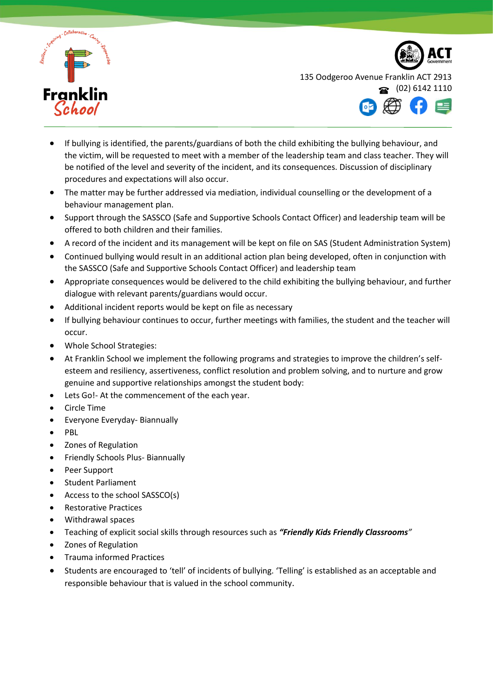



- If bullying is identified, the parents/guardians of both the child exhibiting the bullying behaviour, and the victim, will be requested to meet with a member of the leadership team and class teacher. They will be notified of the level and severity of the incident, and its consequences. Discussion of disciplinary procedures and expectations will also occur.
- The matter may be further addressed via mediation, individual counselling or the development of a behaviour management plan.
- Support through the SASSCO (Safe and Supportive Schools Contact Officer) and leadership team will be offered to both children and their families.
- A record of the incident and its management will be kept on file on SAS (Student Administration System)
- Continued bullying would result in an additional action plan being developed, often in conjunction with the SASSCO (Safe and Supportive Schools Contact Officer) and leadership team
- Appropriate consequences would be delivered to the child exhibiting the bullying behaviour, and further dialogue with relevant parents/guardians would occur.
- Additional incident reports would be kept on file as necessary
- If bullying behaviour continues to occur, further meetings with families, the student and the teacher will occur.
- Whole School Strategies:
- At Franklin School we implement the following programs and strategies to improve the children's selfesteem and resiliency, assertiveness, conflict resolution and problem solving, and to nurture and grow genuine and supportive relationships amongst the student body:
- Lets Go!- At the commencement of the each year.
- Circle Time
- Everyone Everyday- Biannually
- PBL
- Zones of Regulation
- Friendly Schools Plus- Biannually
- Peer Support
- Student Parliament
- Access to the school SASSCO(s)
- Restorative Practices
- Withdrawal spaces
- Teaching of explicit social skills through resources such as *"Friendly Kids Friendly Classrooms"*
- Zones of Regulation
- Trauma informed Practices
- Students are encouraged to 'tell' of incidents of bullying. 'Telling' is established as an acceptable and responsible behaviour that is valued in the school community.